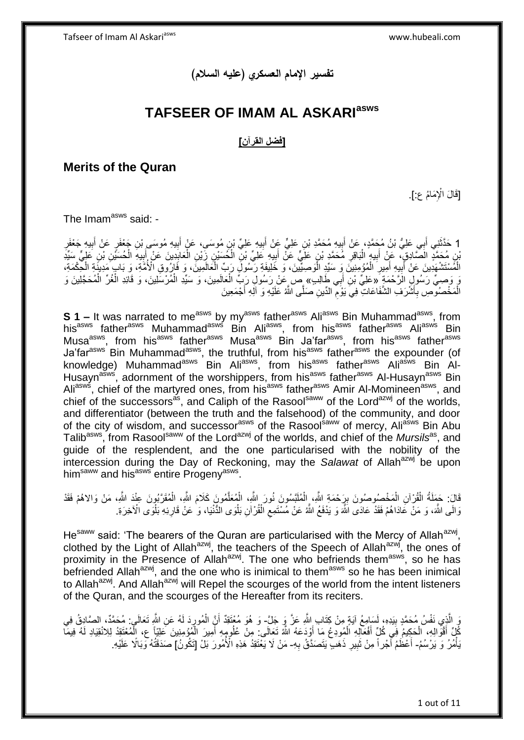## **تفسير اإلمام العسكري )عليه السالم(**

## **TAFSEER OF IMAM AL ASKARIasws**

#### **]فضل القرآن[**

#### **Merits of the Quran**

[قَالَ الْإِمَامُ عِ]

The Imam<sup>asws</sup> said: -

1 حَدَّثَنِي أَبِي عَلِيُّ بْنُ مُحَمَّدٍ، عَنْ أَبِيهِ مُحَمَّدِ بْنِ عَلِيٍّ عَنْ أَبِيهِ عَلِيٍّ بْنِ مُوسَى، عَنْ أَبِيهِ مُوسَى بْنِ جَعْفَرٍ عَنْ أَبِيهِ جَعْفَرِ ِ َ ِ َ ِ َ **∣ ∶** َ َّن مُحَمَّدٍ الْصَّادِقِ، عَنِّ أَبِيهٍ الْبَاقِرِ مُحَمَّدٍ بْنِ عَلِّيٍّ عَنْ أَبِيهِ عَلِيٍّ بْنِ الْكُسَي<br>إِن مُحَمَّدٍ الْصَّادِقِ، عَنِّ أَبِيهِ الْبَاقِرِ مُحَمَّدٍ بْنِ عَلِّيٍّ عَنْ أَبِيهِ عَلِيٍّ بْنِ الْكُسَي ¦; َ ِ إ **!** َ إ ِ َ ِ إ إ الْمُسْتَشْهَدِينَ عَنْ أَبِيهِ أَمِيرِ الْمُؤْمِنِينَ وَ سَيِّدٍ الْوَصِبِّيِّينَ، وَ خَلِيفَةِ رَسُولِّ رَبِّ الْحَالَمِينَ، وَ فَارُوقِ الْأُمَّةِ، وَ بَابٍ مَدِينَةٍ الْحِكْمَةِ، إ إ إ ِ َ ِ َ إ َوَ وَصِيٍّ رَسُورٍ الرَّحْمَةِ ۖ «عَلِيِّ بْنِ أَبِي طَالِبٍ» صٍ عَنْ رَسُولِ رَبِّ الْعَالَمِينَ، وَ سَيِّدِ الْمُرْسَلِينَ، وَ قَائِدِ الْغُرِّ الْمُحَجَّلِينَ وَ َ إ إ إ إ الْمَخْصُوصِ بِأَشْرَفِ الشَّفَاعَاتِ فِيَ يَوْمِ الدِّينِ صَلَّى اللَّهُ عَلَيْهِ وَ آلِهِ أَجْمَعِينَ ِ َ **∶** َ

**S 1 –** It was narrated to me<sup>asws</sup> by my<sup>asws</sup> father<sup>asws</sup> Ali<sup>asws</sup> Bin Muhammad<sup>asws</sup>, from his<sup>asws</sup> father<sup>asws</sup> Muhammad<sup>asws</sup> Bin Ali<sup>asws</sup>, from his<sup>asws</sup> father<sup>asws</sup> Ali<sup>asws</sup> Bin Musa<sup>asws</sup>, from his<sup>asws</sup> father<sup>asws</sup> Musa<sup>asws</sup> Bin Ja'far<sup>asws</sup>, from his<sup>asws</sup> father<sup>asws</sup> Ja'far<sup>asws</sup> Bin Muhammad<sup>asws</sup>, the truthful, from his<sup>asws</sup> father<sup>asws</sup> the expounder (of knowledge) Muhammad<sup>asws</sup> Bin Ali<sup>asws</sup>, from his<sup>asws</sup> father<sup>asws</sup> Ali<sup>asws</sup> Bin Al-Husayn<sup>asws</sup>, adornment of the worshippers, from his<sup>asws</sup> father<sup>asws</sup> Al-Husayn<sup>asws</sup> Bin Ali<sup>asws</sup>, chief of the martyred ones, from his<sup>asws</sup> father<sup>asws</sup> Amir Al-Momineen<sup>asws</sup>, and chief of the successors<sup>as</sup>, and Caliph of the Rasool<sup>saww</sup> of the Lord<sup>azwj</sup> of the worlds. and differentiator (between the truth and the falsehood) of the community, and door of the city of wisdom, and successor<sup>asws</sup> of the Rasool<sup>saww</sup> of mercy, Aliasws Bin Abu Talib<sup>asws</sup>, from Rasool<sup>saww</sup> of the Lord<sup>azwj</sup> of the worlds, and chief of the *Mursils*<sup>as</sup>, and guide of the resplendent, and the one particularised with the nobility of the intercession during the Day of Reckoning, may the Salawat of Allah<sup>azwj</sup> be upon him<sup>saww</sup> and his<sup>asws</sup> entire Progeny<sup>asws</sup>.

قَالَ: حَمَلَةُ الْقُرْآنِ الْمَخْصِبُوصُونَ بِرَحْمَةِ اللَّهِ، الْمُلَلِّسُونَ نُورَ اللَّهِ، الْمُعَلَّمُونَ كَلَامَ اللَّهِ، الْمُقَرَّبُونَ عِنْدَ اللَّهِ، مَنْ وَالاهُمْ فَقَدْ إ َّ إ إ ِ إ وَالَى اللَّهَ، وَ مَنْ عَادَاهُمْ فَقَدْ عَادَى اللَّهَ وَ يَدْفَعُ اللَّهُ عَنْ مُسْتَمِعِ الْقُرْآنِ بَلْوَى الدُّنْيَا، وَ ٰ عَنْ قَارِئِهِ بَلْوَى الْآخِرَةِ. إ ِ إ ِ إ

He<sup>saww</sup> said: 'The bearers of the Quran are particularised with the Mercy of Allah<sup>azwj</sup>, clothed by the Light of Allah<sup>azwj</sup>, the teachers of the Speech of Allah<sup>azwj</sup>, the ones of proximity in the Presence of Allah<sup>azwj</sup>. The one who befriends them<sup>asws</sup>, so he has befriended Allah<sup>azwj</sup>, and the one who is inimical to them<sup>asws</sup> so he has been inimical to Allah<sup>azwj</sup>. And Allah<sup>azwj</sup> will Repel the scourges of the world from the intent listeners of the Quran, and the scourges of the Hereafter from its reciters.

ِّي الَّذِي نَفْسُ مُحَمَّدٍ بِبَدِهِ، لَسَامِعُ آيَةٍ مِنْ كِتَابٍ اللَّهِ عَزَّ وَ جَلَّ- وَ هُوَ مُعْتَقِدٌ أَنَّ الْمُورِدَ لَهُ عَنِ اللَّهِ تَعَالَى: مُحَمَّدٌ، الصَّادِقُ فِي<br>وَيَسْأَنُونَ مَقْسُ مُحَمَّدٍ بِبَدِهِ ِ ِ إ َ كُلِّ أَقْوَالِهِ، الْحَكِيمُ فِي كُلِّ أَفْعَالِهِ الْمُودِعُ مَا أَوْدَعَهُ اللَّهُ تَعَالَى. مِنْ عُلُومٍهِ أَمِيرَ الْمُؤْمِنِينَ عَلِيّاً ع، الْمُعْتَقِدُ لِلِانْقِيَادِ لَهُ فِيمَا إ َ إ َ إ يَأْمُرُ وَ يَرْسُمُ- أَعْظُمُ أَجْراً مِنْ ثَبِيرٍ ذَهَبٍ يَتَصَدَّقُ بِهِ- مَنْ لَا يَعْتَقِدُ هَذِهِ الْأُمُورَ بَلْ [تَكُونُ] صَدَقَتُهُ وَبَالًا عَلَيْهِ. إ ِ ِ **!** َ ۔<br>ا َ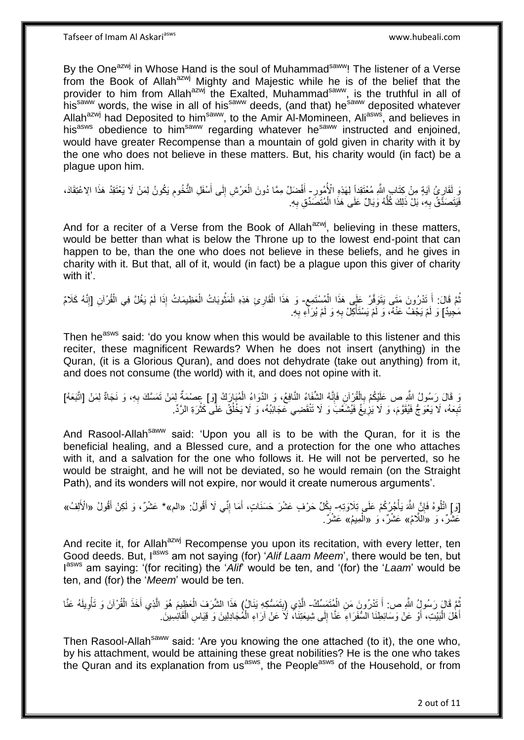By the One<sup>azwj</sup> in Whose Hand is the soul of Muhammad<sup>saww</sup>! The listener of a Verse from the Book of Allah $a^{2xy}$  Mighty and Majestic while he is of the belief that the provider to him from Allah<sup>azwj</sup> the Exalted, Muhammad<sup>saww</sup>, is the truthful in all of his<sup>saww</sup> words, the wise in all of his<sup>saww</sup> deeds, (and that) he<sup>saww</sup> deposited whatever Allah<sup>azwj</sup> had Deposited to him<sup>saww</sup>, to the Amir Al-Momineen, Ali<sup>asws</sup>, and believes in his<sup>asws</sup> obedience to him<sup>saww</sup> regarding whatever he<sup>saww</sup> instructed and enjoined, would have greater Recompense than a mountain of gold given in charity with it by the one who does not believe in these matters. But, his charity would (in fact) be a plague upon him.

وَ لَقَارٍ يُّ آيَةٍ مِنْ كِتَابٍ اللَّهِ مُعْتَقِداً لِهَذِهِ الْأُمُورِ – أَفْضَلُ مِمَّا دُونَ الْعَرْشِ إِلَى أَسْفَلِ النُّخُومِ يَكُونُ لِمَنْ لَا يَعْتَقِدُ هَذَا الِاعْتِقَادَ، ِ ِ ِ َ ِ إ َ فَيَتَصَدَّقُ بِهِ، بَلْ ذَلِكَ كُلَّهُ وَبَالٌ عَلَى هَذَا الْمُتَصَدِّقِ بِهِ. ِ إ ُّ ِ

And for a reciter of a Verse from the Book of Allah $a^{2}$ , believing in these matters, would be better than what is below the Throne up to the lowest end-point that can happen to be, than the one who does not believe in these beliefs, and he gives in charity with it. But that, all of it, would (in fact) be a plague upon this giver of charity with it'

ِ نُّمَّ قَالَ: أَ تَدْرُونَ مَتَى يَتَوَفَّرُ عَلَى هَذَا الْمُسْتَمِعِ- وَ هَذَا الْقَارِيَ هَذِهِ الْمَثُوبَاتُ الْعَظِيمَاتُ إِذَا لَمْ يَغُلَّ فِي الْقُرْآنِ [إِنَّهُ كَلَامٌ إ **∫** ُ ِ إ إ ان<br>سال إ إ مَجِيدٌ] وَ لَمْ يَجْفُ عَنْهُ، وَ لَمْ يَسْتَأْكِلْ بِهِ وَ لَمْ يُرَاّءِ بِهِ. ِ ِ إ

Then he<sup>asws</sup> said: 'do you know when this would be available to this listener and this reciter, these magnificent Rewards? When he does not insert (anything) in the Quran, (it is a Glorious Quran), and does not dehydrate (take out anything) from it, and does not consume (the world) with it, and does not opine with it.

وَ قَالَ رَسُولُ الثَّهِ صِ عَلَيْكُمْ بِالْقُرْآنِ فَإِنَّهُ الشَّفَاءُ النَّافِعُ، وَ الدَّوَاءُ الْمُبَارَكُ [ق] عِصْمَةٌ لِمَنْ تَمَسَّكَ بِهِ، وَ نَجَاةٌ لِمَنْ [اتَّبَعَهُ] יִיµ إ ِ ِ إ نَبِعَهُ، لَا يَعْوَجُ فَيُقَوَّمَ، وَ لَا يَزِيغُ فَيُشَغَّبَ وَ لَا تَنْقَضِي عَجَائِبُهُ، وَ لَا يَخْلُقُ عَلَّى كَثْرَةِ الرَّدِّ. **∶**  ِ إ ُ

And Rasool-Allah<sup>saww</sup> said: 'Upon you all is to be with the Quran, for it is the beneficial healing, and a Blessed cure, and a protection for the one who attaches with it, and a salvation for the one who follows it. He will not be perverted, so he would be straight, and he will not be deviated, so he would remain (on the Straight Path), and its wonders will not expire, nor would it create numerous arguments'.

[وَ إِ اتْلُوهُ فَإِنَّ اللَّهَ يَأْجُرُكُمْ عَلَى تِلَاوَتِهِ- بِكُلِّ حَرْفٍ عَشْرَ حَسَنَاتٍ، أَمَا إِنِّي لَا أَقُولُ: «الم»\* عَشْرٌ، وَ لَكِنْ أَقُولُ «الْأَلِفُ» ا<br>إ ِ َ ِ َ ; َ عَشَّرٌ، وَ «اَللَّامُ» عَشْرٌ، وَ «الْمِيمُ» عَشْرٌ. إ

And recite it, for Allah<sup>azwj</sup> Recompense you upon its recitation, with every letter, ten Good deeds. But, I<sup>asws</sup> am not saying (for) 'Alif Laam Meem', there would be ten, but I asws am saying: '(for reciting) the '*Alif*' would be ten, and '(for) the '*Laam*' would be ten, and (for) the '*Meem*' would be ten.

يُّمَّ قَالَ رَسُولُ اللَّهِ ص: أَ تَدْرُونَ مَنِ الْمُتَصَمِّكُ- الَّذِي (بِتَمَسُّكِهِ يَذَالُ) هَذَا الشَّرَفَ الْعَظِيمَ هُوَ الَّذِي أَخَذَ الْقُرْآنَ وَ تَأْوِيلَهُ عَنَّا إ َ إ **∣** َّ **∶** إ إ َ َّ إ أَهْلَ الْبَيْتِ، أَوْ عَنْ وَسَائِطِنَا السُّفَرَاءِ عَنَّا إِلَى شِيعَتِنَا، لَا عَنْ آرَاءِ الْمُجَادِلِينَ وَ قِيَاسِ الْقَانِسِينَ إ  $\frac{1}{2}$ َ إ َ

Then Rasool-Allah<sup>saww</sup> said: 'Are you knowing the one attached (to it), the one who, by his attachment, would be attaining these great nobilities? He is the one who takes the Quran and its explanation from us<sup>asws</sup>, the People<sup>asws</sup> of the Household, or from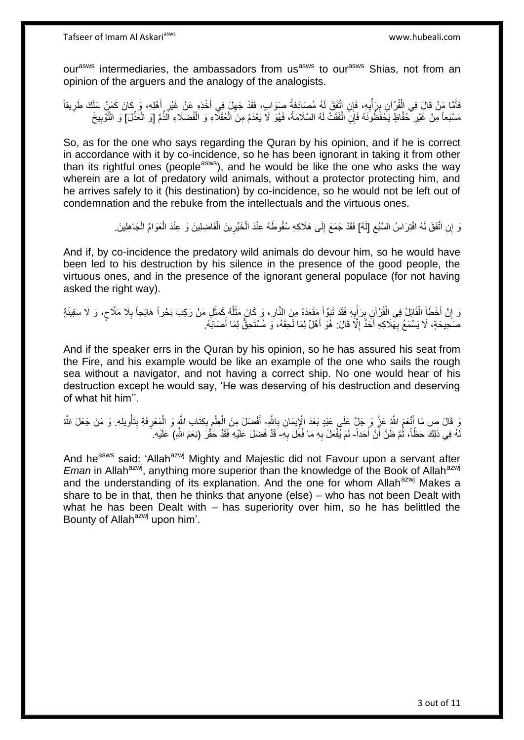our<sup>asws</sup> intermediaries, the ambassadors from us<sup>asws</sup> to our<sup>asws</sup> Shias, not from an opinion of the arguers and the analogy of the analogists.

فَأَمَّا مَنْ قَالَ فِي الْقُرْآنِ بِرَأْيِهِ، فَإِن اتَّفَقَ لَهُ مُصَادَفَةُ صَوَابٍ، فَقَدْ جَهِلَ فِي أَخْذِهِ عَنْ غَيْرِ أَهْلِهِ، وَ كَانَ كَمَنْ سَلَكَ طَرِيقاً َ ِ ِ إ ِ إ ِ َ ِ مَسْنَعاً مِنْ غَيْرِ خُفَّاظٍ يَحْفَظُونَهُ فَإِنِّ اتَّفَقَتْ لَهُ السَّلَامَةُ، فَهُوَ لَا يَعْدَمُ مِنَ الْعُقَلَّاءِ وَ الْفُضَلَاءِ الَّذَّمَّ [وَ الْعَذْلَ] وَ التَّوْبِيخَ إ إ ِ إ ِ

So, as for the one who says regarding the Quran by his opinion, and if he is correct in accordance with it by co-incidence, so he has been ignorant in taking it from other than its rightful ones (people<sup>asws</sup>), and he would be like the one who asks the way wherein are a lot of predatory wild animals, without a protector protecting him, and he arrives safely to it (his destination) by co-incidence, so he would not be left out of condemnation and the rebuke from the intellectuals and the virtuous ones.

> لَ اتَّفَقَ لَهُ افْتِرَاسُ السَّبُعِ [لَهُ] فَقَدْ جَمَعَ إِلَى هَلَاكِهِ سُقُوطَهُ عِنْدَ الْخَيِّرِينَ الْفَاضِلِينَ وَ عِنْدَ الْعَوَامِّ الْجَاهِلِينَ ِ  $\frac{1}{2}$ إ إ إ ِ إ

And if, by co-incidence the predatory wild animals do devour him, so he would have been led to his destruction by his silence in the presence of the good people, the virtuous ones, and in the presence of the ignorant general populace (for not having asked the right way).

وَ إِنْ أَخْطَأَ الْقَائِلُ فِي الْقُرْآنِ بِرَأْيِهِ فَقَدْ تَبَوَّأَ مَقْعَدَهُ مِنَ النَّارِ ، وَ كَانَ مَثَلُهُ كَمَثَلِ مَنْ رَكِبَ بَحْراً هَائِجاً بِلَا مَلَّاحٍ، وَ لَا سَفِينَةٍ َ ُ َ ِ َ ِ إ ِ إ إ َ َ ِ **∶** ٍ صَحِيحَةٍ، لَا يَسْمَعُ بِهَلَاكِهِ أَحَدٌّ إِلَّا قَالَ: هُوَ أَهْلٌ لِمَا لَحِقَهُ، وَ مُسْتَحِقٌّ لِمَا أَصَابَهُ. َ َ ِ َ ِ

And if the speaker errs in the Quran by his opinion, so he has assured his seat from the Fire, and his example would be like an example of the one who sails the rough sea without a navigator, and not having a correct ship. No one would hear of his destruction except he would say, 'He was deserving of his destruction and deserving of what hit him''.

وَ قَالَ صِ مَا أَنْعَمَ اللَّهُ عَزَّ وَ جَلَّ عَلَى عَبْدٍ بَعْدَ الْإِيمَانِ بِاللَّهِ- أَفْضَلَ مِنَ الْعِلمِ بِكِتَابِ اللَّهِ وَ الْمَعْرِفَةِ بِتَأْوِيلِهِ. وَ مَنْ جَعَلَ اللَّه **∶** اً<br>ا ِ إ ! ِ إ ِ ِ إ إ َ لَهُ فِي ذَلِكَ حَظَّاً، ثُمَّ ظَنَّ أَنَّ أَحَداً- لَمْ يُفْعَلْ بِهِ مَا فُعِلَ بِهِ- قَدْ فَضَلَ عَلَيْهِ فَقَدْ خَقَّرَ (نِعَمَ اللَّهِ) عَلَيْهِ. َ ۔<br>ا ُ ِ ِ

And he<sup>asws</sup> said: 'Allah<sup>azwj</sup> Mighty and Majestic did not Favour upon a servant after *Eman* in Allah<sup>azwj</sup>, anything more superior than the knowledge of the Book of Allah<sup>azwj</sup> and the understanding of its explanation. And the one for whom Allah $a$ <sup>azwj</sup> Makes a share to be in that, then he thinks that anyone (else) – who has not been Dealt with what he has been Dealt with – has superiority over him, so he has belittled the Bounty of Allah<sup>azwj</sup> upon him'.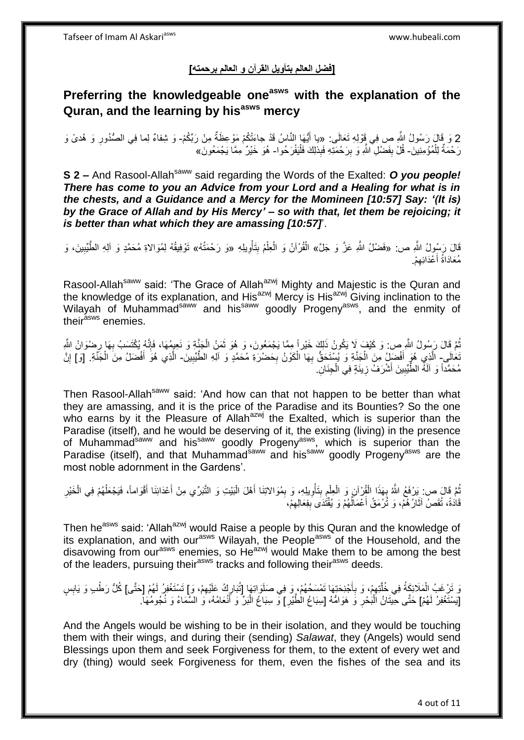### **]فضل العالم بتأويل القرآن و العالم برحمته[**

# **Preferring the knowledgeable oneasws with the explanation of the Quran, and the learning by hisasws mercy**

2 وَ قَالَ رَسُولُ اللَّهِ صِ فِي قَوْلِهِ تَعَالَى: «يا أَيُّهَا النَّاسُ قَدْ جاءَتْكُمْ مَوْعِظَةٌ مِنْ رَبِّكُمْ- وَ شِفاءٌ لِما فِي الصُّدُورِ وَ هُدىً وَ<br>2 ديد الله عليه اللَّهِ صِ بِهِي قَوْلِهِ تَعَالَى: «يا رَبِّ َ رَحْمَةٌ لِلْمُؤْمِنِينَ- قُلْ بِفَضْلِ ۗ اللَّهِ وَ بِرَحْمَتِهِ فَبِذلِكَ فَلْيَفْرَحُوا- هُوَ خَيْرٌ مِمَّا يَجْمَعُونَ» إ إ ِ **∣** 

**S 2 –** And Rasool-Allah<sup>saww</sup> said regarding the Words of the Exalted: *O you people! There has come to you an Advice from your Lord and a Healing for what is in the chests, and a Guidance and a Mercy for the Momineen [10:57] Say: '(It is) by the Grace of Allah and by His Mercy' – so with that, let them be rejoicing; it is better than what which they are amassing [10:57]*'.

قَالَ رَسُولُ اللَّهِ ص: «فَضْلُ اللَّهِ عَزَّ وَ جَلَّ» الْقُرْآنُ وَ الْعِلْمُ بِتَأْوِيلِهِ «وَ رَحْمَتُهُ» تَوْفِيقُهُ لِمُوَالاةِ مُحَمَّدٍ وَ آلِهِ الطَّيِّبِينَ، وَ ِ إ ِ إ إ ِ مُعَادَاةُ أَعْدَائِهِمْ. ِ َ

Rasool-Allah<sup>saww</sup> said: 'The Grace of Allah<sup>azwj</sup> Mighty and Majestic is the Quran and the knowledge of its explanation, and  $His^{azwj}$  Mercy is His<sup>azwj</sup> Giving inclination to the Wilayah of Muhammad<sup>saww</sup> and his<sup>saww</sup> goodly Progeny<sup>asws</sup>, and the enmity of their<sup>asws</sup> enemies.

نُّمَّ قَالَ رَسُولُ اللَّهِ ص: وَ كَيْفٍ لِا يَكُونُ ذَلِكَ خَيْرٍ إِ مِمَّا يَجْمَعُونَ، وَ هُوَ ثَمَنُ الْجَنَّةِ وَ نَعِيمُهَا، فَإِنَّهُ يُكْتَسَبُ بِهَا رِضْوَانُ اللَّهِ إ َ ُ ِ **∶** ا∣<br>ِ∘ِ تَعَالَى- الَّذِي هُوَ أَفْضَلِ مِنَ الْجَنَّةِ وَ يُبِنْتَحَقُّ بِهَا الْكَوْنُ بِحَضْرَةِ مُحَمَّدٍ وَ آلِهِ الطَّيِّبِينَ- الَّذِي هُوَ أَفْضَلُ مِنَ الْجَنَّةِ. [وَ] إِنَّ َ ِ ِ إ ِ إ إ َ ِ مُحَمَّداً وَ آلَهُ الطِّّيِّبِينَ أَشْرَفُ زِينَةٍ فِي الْجِنَانِ ۖ ِ َ ِ إ

Then Rasool-Allah<sup>saww</sup> said: 'And how can that not happen to be better than what they are amassing, and it is the price of the Paradise and its Bounties? So the one who earns by it the Pleasure of Allah<sup>azwj</sup> the Exalted, which is superior than the Paradise (itself), and he would be deserving of it, the existing (living) in the presence of Muhammad<sup>saww</sup> and his<sup>saww</sup> goodly Progeny<sup>asws</sup>, which is superior than the Paradise (itself), and that Muhammad<sup>saww</sup> and his<sup>saww</sup> goodly Progeny<sup>asws</sup> are the most noble adornment in the Gardens'.

نُّمَّ قَالَ ص: يَرْفَعُ اللَّهُ بِهَذَا الْقُرْآنِ وَ الْعِلْمِ بِتَأْوِيلِهِ، وَ بِمُوَالاتِنَا أَهْلَ الْبَيْتِ وَ الثَّبَرِّي مِنْ أَعْدَائِنَا أَقْوَاماً، فَيَجْعَلُهُمْ فِي الْخَيْرِ إ َ ِ ِ إ **∣** ِ إ إ إ **∶** ُ َ إ قَادَةً، تُقَصِّ آثَارُهُمْ، وَ تُرْمَقُ أَعْمَالُهُمْ وَ يُقْتُدَى بِفِعَالِهِمْ، ٔ<br>ا َ ِ **!** 

Then he<sup>asws</sup> said: 'Allah<sup>azwj</sup> would Raise a people by this Quran and the knowledge of its explanation, and with our<sup>asws</sup> Wilayah, the People<sup>asws</sup> of the Household, and the disavowing from our<sup>asws</sup> enemies, so He<sup>azwj</sup> would Make them to be among the best of the leaders, pursuing their<sup>asws</sup> tracks and following their<sup>asws</sup> deeds.

َهَ تَرْغَبُ الْمَلَائِكَةُ فِي خُلَّتِهِمْ، وَ بِأَجْنِحَتِهَا تَمْسَحُهُمْ، وَ فِي صَلَوَاتِهَا [تُبَارِكُ عَلَيْهِمْ، وَإِ تَسْتَغْفِرُ لَهُمْ [حَتَّى] كُلُّ رَطْبِ وَ يَابِسٍ َ ِ ِ َّ إ ِ ِ [يَسْتَغْفِرُ لَهُمْ] حَتَّى حِيّتَانُ اَلْبَحْرِ وَ هَوَامُّهُ [سِبَاعُ الْطَّيْرِ] وَّ سِبَاعُ الْبَرِّ وَ اَنْعَامُهُ، وَ السَّمَاءُ وَ نُجُومُهَا. َ إ ِ ِ إ

And the Angels would be wishing to be in their isolation, and they would be touching them with their wings, and during their (sending) *Salawat*, they (Angels) would send Blessings upon them and seek Forgiveness for them, to the extent of every wet and dry (thing) would seek Forgiveness for them, even the fishes of the sea and its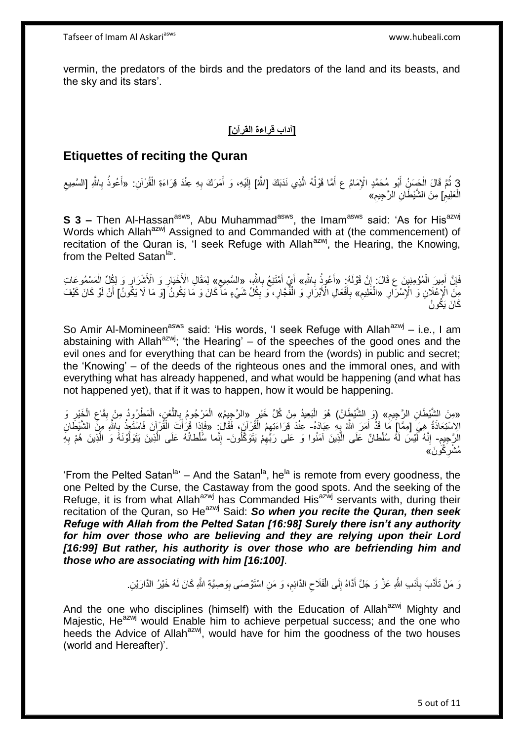vermin, the predators of the birds and the predators of the land and its beasts, and the sky and its stars'.

### **]آداب قراءة القرآن[**

### **Etiquettes of reciting the Quran**

3 ثُمَّ قَالَ الْحَسَنُ أَبُو مُحَمَّدٍ الْإِمَامُ ع أَمَّا قَوْلُهُ الَّذِي نَدَبَكَ [اللَّهُ] إِلَيْهِ، وَ أَمَرَكَ بِهِ عِنْدَ قِرَاءَةِ الْقُرْآنِ: «أَعُوذُ بِاللَّهِ [السَّمِيعِ<br>أَيُرتُمْ قَالَ الْحَسَنُ أَبُو مُحَمَ إ ِ َ لَ ِ َّ ا<br>ا َ إ ِ َ ِ الْعَلِيمِ] مِنَ الشَّيْطَانِ الرَّجِيمِ» إ ِ

**S 3 –** Then Al-Hassan<sup>asws</sup>, Abu Muhammad<sup>asws</sup>, the Imam<sup>asws</sup> said: 'As for His<sup>azwj</sup> Words which Allah<sup>azwj</sup> Assigned to and Commanded with at (the commencement) of recitation of the Quran is, 'I seek Refuge with Allah<sup>azwj</sup>, the Hearing, the Knowing, from the Pelted Satan<sup>la</sup>'.

فَإِنَّ أَمِيرَ الْمُؤْمِنِينَ ع قَالَ: إِنَّ قَوْلَهُ: «أَعُوذُ بِاللَّهِ» أَيْ أَمْتَنِعُ بِاللَّهِ، «السَّمِيعِ» لِمَقَالِ الْأَخْيَارِ وَ الْأَشْرَارِ وَ لِكُلِّ الْمَسْمُوعَاتِ َ ِ יֲ<br>י إ ِ َ ِ َ ِ إ ِ ِ ِ مِنَّ الْإِعْلَانِ وَ الْإِسْرَارِ «الْعَلِيمِ» بِأَفْعَالِ الْأَبْرَارِ وَ الْفُجَارِ، وَ بِكُلِّ شَيْءٍ مَا كَانَ وَ مَا يَكُونُ ۖ [وَ مَا لَا يَكُونُ] أَنْ لَوْ كَانَ كَيْفَ ِ **∶** إ ِ َ **∶**  ِ َ كَانَ يَكُونُ

So Amir Al-Momineen<sup>asws</sup> said: 'His words, 'I seek Refuge with Allah<sup>azwj</sup> – i.e., I am abstaining with Allah<sup>azwj</sup>; 'the Hearing' – of the speeches of the good ones and the evil ones and for everything that can be heard from the (words) in public and secret; the 'Knowing' – of the deeds of the righteous ones and the immoral ones, and with everything what has already happened, and what would be happening (and what has not happened yet), that if it was to happen, how it would be happening.

«مِنَ الشَّيْطَانِ الرَّجِيمِ» (وَ الشَّيْطَانُ) هُوَ الْبَعِيدُ مِنْ كُلِّ خَيْرٍ «الرَّجِيمُ» الْمَرْجُومُ بِاللَّغْنِ، الْمَطْرُودُ مِنْ بِقَاعِ الْخَيْرِ وَ<br>بِرِوِيهِ بِهِمْ الشَّيطَانِ – يَجْمِعُ وَفَرْقَ بِهِمْ الْق إ ِ إ ِ ِ إ َّ **∶** إ الِاسْتِعَاذَةُ هِيَ [مِمَّا] مَا قَذْ أَمَرَ اللَّهُ بِهِ عِبَادَهُ- عِنْدَ قِرَاءَتِهِمُ الْقُرْآنَ، فَقَالَ<br>الِاسْتِعَاذَةُ هِيَ [مِمَّا] مَا قَذْ أَمَرَ اللَّهُ بِهِ عِبَادَهُ- عِنْدَ قِرَاءَتِهِمُ الْقُرْآنَ، فَقَالَ **∶** َ إ ِ إ إ إ ِ الرَّجِيمِ- إِنَّهُ لَّيْسَ لَهُ سُلْطانٌ عَلَى الَّذِينَ آمَنُوا وَ عَلى رَبِّهِمْ يَتَوَكَّلُونَ- إِنَّما سُلْطانُهُ عَلَى الَّذِينَ يَتَوَلَّوْنَهُ وَ الَّذِينَ هُمْ بِهِ َّ ِ ُ ِ َّ َّ َّ ِ مُشْرِكُونَ» ِ

'From the Pelted Satan<sup>la,</sup> – And the Satan<sup>la</sup>, he<sup>la</sup> is remote from every goodness, the one Pelted by the Curse, the Castaway from the good spots. And the seeking of the Refuge, it is from what Allah<sup>azwj</sup> has Commanded His<sup>azwj</sup> servants with, during their recitation of the Quran, so He<sup>azwj</sup> Said: So when you recite the Quran, then seek *Refuge with Allah from the Pelted Satan [16:98] Surely there isn't any authority for him over those who are believing and they are relying upon their Lord [16:99] But rather, his authority is over those who are befriending him and those who are associating with him [16:100]*.

> وَ مَنْ تَأَدَّبَ بِأَدَبِ اللَّهِ عَزَّ وَ جَلَّ أَدَّاهُ إِلَى الْفَلَاحِ الدَّائِمِ، وَ مَنِ اسْتَوْصَى بِوَصِيَّةِ اللَّهِ كَانَ لَمُ خَيْرُ الدَّارَيْنِ ِ ِ ِ إ ِ َ اُ **∶**

And the one who disciplines (himself) with the Education of Allah<sup>azwj</sup> Mighty and Majestic. He<sup>azwj</sup> would Enable him to achieve perpetual success; and the one who heeds the Advice of Allah<sup>azwj</sup>, would have for him the goodness of the two houses (world and Hereafter)'.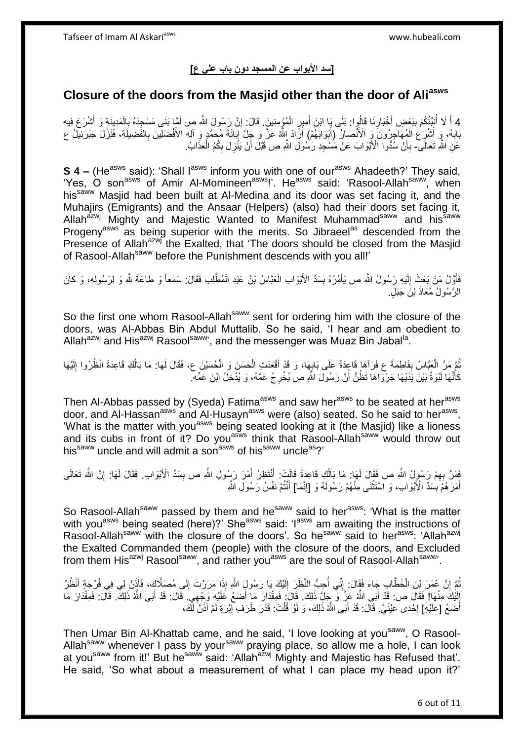### **]سد األبواب عن المسجد دون باب علي ع[**

### **Closure of the doors from the Masjid other than the door of Aliasws**

4 أَكَرْ أُنَبِّئُكُمْ بِبَعْضِ أَخْبَارِنَا قَالُوا: بَلَى يَا ابْنَ أَمِيرٍ الْمُؤْمِنِينَ. قَالَ: إِنَّ رَسُولَ اللَّهِ ص لَمَّا بَنَى مَسْجِدَهُ بِالْمَدِينَةِ وَ أَشْرَعَ فِيهِ<br>معاض النَّبُّئُ الْمَدِينَةِ مِنْ الْمَس ِ إ َ َ **!** ا<br>ا َ إ ِ بَابَهُ، وَ أَشْرَعَ الْمُهَاجِرُونَ وَ الْأَنْصَارُ (أَبْوَابَهُمْ) أَرَادَ اللَّهُ عَزَّ وَ جَلَّ إِبَانَةَ مُحَمَّدٍ وَ الْإِهِ الْأَفْضَلِينَ بِالْفَضِيلَةِ، فَنَزَلَ جَبْرَتِيلُ ع ِ َ َ إ إ ِ عَنِ اللَّهِ تَعَالَى- بِأَنْ سُذُّوا الْأَبْوَابَ عَنْ مَسْجِدِ رَسْمُولِ اللَّهِ ص قَبْلَ أَنْ يَنْزِلَ بِكُمُ الْعَذَابُ. اُ ِ إ ِ ِ َ

**S 4 –** (He<sup>asws</sup> said): 'Shall l<sup>asws</sup> inform you with one of our<sup>asws</sup> Ahadeeth?' They said, 'Yes, O son<sup>asws</sup> of Amir Al-Momineen<sup>asws</sup>!'. He<sup>asws</sup> said: 'Rasool-Allah<sup>saww</sup>, when his<sup>saww</sup> Masjid had been built at Al-Medina and its door was set facing it, and the Muhajirs (Emigrants) and the Ansaar (Helpers) (also) had their doors set facing it, Allah<sup>azwj</sup> Mighty and Majestic Wanted to Manifest Muhammad<sup>saww</sup> and his<sup>saww</sup> Progeny<sup>asws</sup> as being superior with the merits. So Jibraeel<sup>as</sup> descended from the Presence of Allah<sup>azwj</sup> the Exalted, that 'The doors should be closed from the Masjid of Rasool-Allah<sup>saww</sup> before the Punishment descends with you all!'

فَاَّوَّلُ مَنْ بَعَثَ إِلَيْهِ رَسُولُ اللَّهِ ص يَأْمُرُهُ بِسَدِّ الْأَبْوَابِ الْعَبَّاسُ بْنُ عَبْدِ الْمُطَّلِبِ فَقَالَ: سَمْعاً وَ طَاعَةً بِثَّهِ وَ لِرَسُولِهِ، وَ كَانَ لَ ِ َ إ إ **ِ** الرَّسُولُ مُعَاذَ بْنَ جَبَلٍ<sub>.</sub>

So the first one whom Rasool-Allah<sup>saww</sup> sent for ordering him with the closure of the doors, was Al-Abbas Bin Abdul Muttalib. So he said, 'I hear and am obedient to Allah<sup>azwj</sup> and His<sup>azwj</sup> Rasool<sup>saww</sup>', and the messenger was Muaz Bin Jabal<sup>la</sup>.

نُّمَّ مَرَّ الْعَبَّاسُ بِفَاطِمَةَ ع فَرَآهَا قَاعِدَةً عَلَى بَابِهَا، وَ قَدْ أَقْعَدَتِ الْحَسَنَ وَ الْحُسَيْنَ ع، فَقَالَ لَهَا: مَا بَالُكِ قَاعِدَةً انْظُرُوا إِلَيْهَا إ َ ِ **∣** إ ُ لَ ِ اُ إ كَأَنَّهَا لَبْوَةٌ بَيْنَ يَدَيْهَا جَرْوَاهَا تَظُنُّ أَنَّ رَسُولَ اللَّهِ صِّ يُخْرِجُ عَمَّهُ، وَ يُدْخِلُ ابْنَ عَمِّهِ َ **∶** اُ

Then Al-Abbas passed by (Syeda) Fatima<sup>asws</sup> and saw her<sup>asws</sup> to be seated at her<sup>asws</sup> door, and Al-Hassan<sup>asws</sup> and Al-Husayn<sup>asws</sup> were (also) seated. So he said to her<sup>asws</sup>, 'What is the matter with you<sup>asws</sup> being seated looking at it (the Masjid) like a lioness and its cubs in front of it? Do you<sup>asws</sup> think that Rasool-Allah<sup>saww</sup> would throw out his<sup>saww</sup> uncle and will admit a son<sup>asws</sup> of his<sup>saww</sup> uncle<sup>as</sup>?'

فَصَّ بِهِمْ رَسُولُ اللَّهِ ص فَقَالَ لَمَا: مَا بَالُكِ قَاعِدَةً قَالَتْ: أَنْتَظِرُ أَمْرَ رَسُولِ اللَّهِ ص بِسَدِّ الْأَبْوَابِ. فَقَالَ لَمَا: إِنَّ اللَّهَ تَعَالَى ِ َ َ اُ ِ ِ أَمَرَ هُمَّ بِسَدٍّ الْأَبْوَابِ، وَ اَسْتَثْنَى مِنْهُمْ رَسُولَهُ وَ [إِنَّمَا] أَنْتُمْ نَفْسُ رَسُولِ اللَّهِ َ ِ إ **∣** َ

So Rasool-Allah<sup>saww</sup> passed by them and he<sup>saww</sup> said to her<sup>asws</sup>: 'What is the matter with you<sup>asws</sup> being seated (here)?' She<sup>asws</sup> said: 'I<sup>asws</sup> am awaiting the instructions of Rasool-Allah<sup>saww</sup> with the closure of the doors'. So he<sup>saww</sup> said to her<sup>asws</sup>: 'Allah<sup>azwj</sup> the Exalted Commanded them (people) with the closure of the doors, and Excluded from them His<sup>azwj</sup> Rasool<sup>saww</sup>, and rather you<sup>asws</sup> are the soul of Rasool-Allah<sup>saww</sup>.

نُّمَّ إِنَّ عُمَرَ بِّنَ الْخَطَّابِ جَاءَ فَقَالَ: إِنِّي أُحِبُّ النَّظَرَ إِلَيْكَ يَا رَسُولٍَ الثَّهِ إِذَا مَرَرْتَ إِلَى مُصَلَّاكٍ، فَأُنْزِل فِي فُرْجَةٍ أَنْظُرْ ِ لَ ِ ابل<br>ا ِ إ ِ َ إ إِنَّكَ مِنْهَا! فَقَالَ ص: قَدْ أَبَى اللَّهُ عَزِّ وَ ۖ جَلِّ ذَلِكَ. قَالَ: فَمِقْدَارَ مَا أَضَعُ عَلَيْهِ وَجْهِيَ. قَالَ: قَدْ أَبَى اللَّهُ ذَلِكَ ۗ. قَالَ: فَمِقْدَارَ مَا لَ ِ ِ َ َ َ أَضَعُ [عَلَيْهِ] لِحْدَى عَيْنَيَّ. قَالَ: قَدْ أَبَى اللَّهُ ذَلِكَ، وَ لَوْ قُلْتَ: قَدْرَ طَرَفِ إِبْرَةٍ لَمْ آذَنْ لَّكَ، َ **∶** إ ِ

Then Umar Bin Al-Khattab came, and he said, 'I love looking at you<sup>saww</sup>, O Rasool-Allah<sup>saww</sup> whenever I pass by your<sup>saww</sup> praying place, so allow me a hole, I can look at you<sup>saww</sup> from it!' But he<sup>saww</sup> said: 'Allah<sup>azwj</sup> Mighty and Majestic has Refused that'. He said, 'So what about a measurement of what I can place my head upon it?'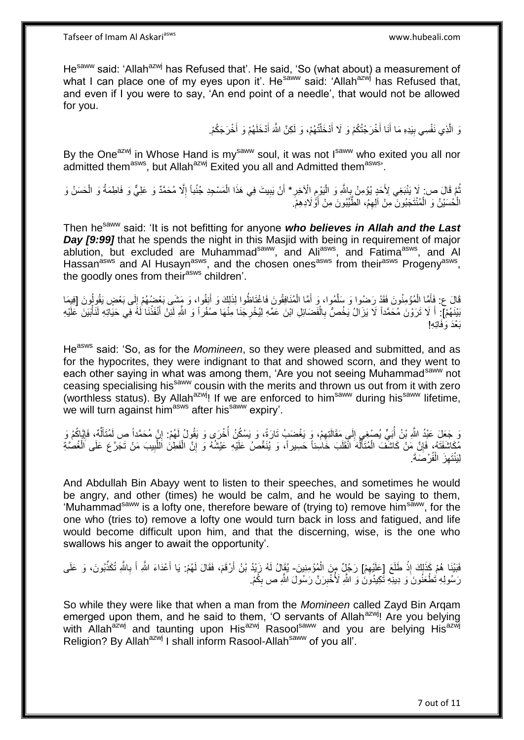He<sup>saww</sup> said: 'Allah<sup>azwj</sup> has Refused that'. He said, 'So (what about) a measurement of what I can place one of my eyes upon it'. He<sup>saww</sup> said: 'Allah<sup>azwj</sup> has Refused that, and even if I you were to say, 'An end point of a needle', that would not be allowed for you.

> وَ الَّذِي نَفْسِي بِيَدِهِ مَا أَنَا أَخْرَجْتُكُمْ وَ لَا أَدْخَلْتُهُمْ، وَ لَكِنَّ اللَّهَ أَدْخَلَهُمْ وَ أَخْرَجَكُمْ. َ َ إ َ َ **∣**

By the One<sup>azwj</sup> in Whose Hand is my<sup>saww</sup> soul, it was not I<sup>saww</sup> who exited you all nor admitted them<sup>asws</sup>, but Allah<sup>azwj</sup> Exited you all and Admitted them<sup>asws</sup>'.

ثُمَّ قَالَ ص: لَا يَنْبَغِي لِأَحَدٍ يُؤْمِنُ بِاللَّهِ وَ الْيَوْمِ الْآخِرِ\* أَنْ يَبِيتَ فِي هَذَا الْمَسْجِدِ جُنُباً إِلَّا مُحَمَّدٌ وَ عَلِيٌّ وَ فَاطِمَةُ وَ الْحَسَنُ وَ<br>أَوْ وَوَفِي الْمُسْئِنُ وَالْحَسَنُ وَ ُ إ **!** َ ِ إ ِ إ ِ الْحُسَيْنُ وَ الْمُنْتَجَبُونَ ۖ مِنْ الْهِمُ، الطَّيِّبُونَ مِنْ أَوَّٰ لَادِهِمْ. اُ إ إ

Then hesaww said: 'It is not befitting for anyone *who believes in Allah and the Last Day [9:99]* that he spends the night in this Masjid with being in requirement of major ablution, but excluded are Muhammad<sup>saww</sup>, and Ali<sup>asws</sup>, and Fatima<sup>asws</sup>, and Al Hassan<sup>asws</sup> and Al Husayn<sup>asws</sup>, and the chosen ones<sup>asws</sup> from their<sup>asws</sup> Progeny<sup>asws</sup>, the goodly ones from their<sup>asws</sup> children'.

قَالَ ع: فَأَمَّا الْمُؤْمِنُونَ فَقَدْ رَصْوا وَ سَلَّمُوا، وَ أَمَّا الْمُنَافِقُونَ فَاغْتَاظُوا لِذَلِكَ وَ أَنِفُوا، وَ مَشَى بَعْضُهُمْ إِلَى بَعْضٍ يَقُولُونَ [فِيمَا َ إ َ َّ إ َ  $\frac{1}{2}$ بَيْنَهُمْ]: أَ لَا تَرَوْنَ مُحَمَّداً لَا يَزَالُ يَخُصُّ بِالْفَضَائِلِ ابْنَ عَمِّهِ لِيُخْرِجَنَا مِنْهَا صَفْراً وَ اللَّهِ لَئِنَّ أَنْفَذْنَا لَٰهً فِي حَيَاتِهِ لَنَأْبَيَنَ عَلَيْهِ إ إ َ **ٍ** إ ِ َب إَْد َوَفاِت ِه!

He<sup>asws</sup> said: 'So, as for the *Momineen*, so they were pleased and submitted, and as for the hypocrites, they were indignant to that and showed scorn, and they went to each other saying in what was among them, 'Are you not seeing Muhammad<sup>saww</sup> not ceasing specialising his<sup>saww</sup> cousin with the merits and thrown us out from it with zero (worthless status). By Allah<sup>azwj</sup>! If we are enforced to him<sup>saww</sup> during his<sup>saww</sup> lifetime, we will turn against him<sup>asws</sup> after his<sup>saww</sup> expiry'.

وَ جَعَلَ عَبْدُ اللَّهِ بْنُ أُبَيٍّ يُصْغِي إِلَى مَقَالَتِهِمْ، وَ يَغْضَبُ تَارَةً، وَ يَسْكُنُ أُخْرَى وَ يَقُولُ لَهُمْ: إِنَّ مُحَمَّداً ص لَمُتَأَلِّمٌ، فَإِيَّاكُمْ وَ ا<br>أ ِ  $\frac{1}{2}$ ُ ِ  $\frac{1}{2}$ ِّ َ مُكَاشَفَتَهُ، فَإِنَّ مَنْ كَاشَفَ الْمُتَأَلِّهَ انْقَلَبَ خَاسِنًا حَسِيراً، وَ يُنَغَّصُ عَلَيْهِ عَيْشُهُ وَ إِنَّ الْفَطِنَ اللَّبِيبَ مَنْ تَجَرَّعَ عَلَى الْغُصَّةِ إ ِ ِّ َ إ ِ إ ِ َّ لِيَنْتَهِزَ الْفُرْصَةَ. إ ِ

And Abdullah Bin Abayy went to listen to their speeches, and sometimes he would be angry, and other (times) he would be calm, and he would be saying to them, 'Muhammad<sup>saww</sup> is a lofty one, therefore beware of (trying to) remove him<sup>saww</sup>, for the one who (tries to) remove a lofty one would turn back in loss and fatigued, and life would become difficult upon him, and that the discerning, wise, is the one who swallows his anger to await the opportunity'.

فَيْنِا هُمْ كَذَلِكَ إِذْ طَلَعَ [عَلَيْهِمْ] رَجُلٌ مِنَ الْمُؤْمِنِينَ- يُقَالُ لَهُ زَيْدُ بْنُ أَرْقَمَ، فَقَالَ لَهُمْ: يَا أَعْدَاءَ اللَّهِ أَ بِاللَّهِ تُكَذِّبُونَ، وَ عَلَى ِ إ اً ِ َ َ رَسُولِهِ تُطْعَنُونَ وَ دِينِهِ تُكِيدُونَ وَ اللَّهِ لَأُخْبِرَنَّ رَسُولَ اللَّهِ ص بِكَّمْ. ِ ِ

So while they were like that when a man from the *Momineen* called Zayd Bin Arqam emerged upon them, and he said to them, 'O servants of Allah<sup>azwj</sup>! Are you belying with Allah<sup>azwj</sup> and taunting upon His<sup>azwj</sup> Rasoolsaww and you are belying His<sup>azwj</sup> Religion? By Allah<sup>azwj</sup> I shall inform Rasool-Allah<sup>saww</sup> of you all'.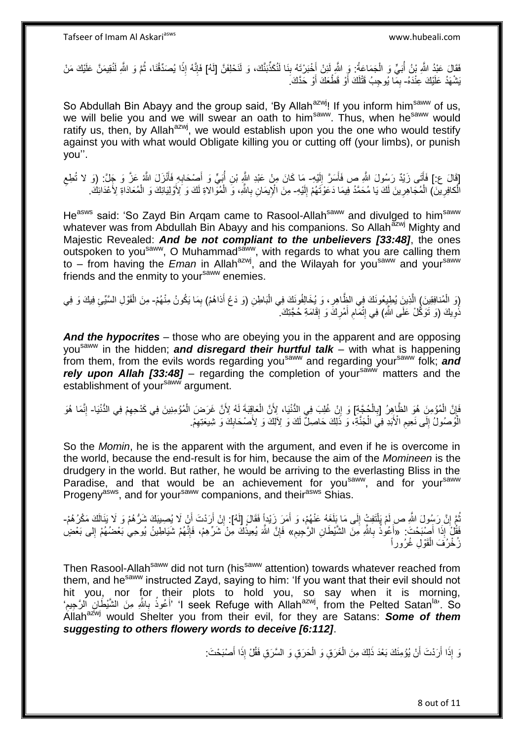فَقَالَ عَبْدُ اللَّهِ بْنُ أُبَيٍّ وَ الْجَمَاعَةُ: وَ اللَّهِ لَئِنْ أَخْبَرْتَهُ بِنَا لَنُكَذِّبَنَّكَ، وَ لَنَحْلِفَنَّ [لَهُ] فَإِنَّهُ إِذَا يُصَدِّقُنَا، ثُمَّ وَ اللَّهِ لَنُقِيمَنَّ عَلَيْكَ مَنْ َ إ ُ ُ ً ׀ו<br>ِ∘ يَشْهَدُ عَلَيْكَ عِنْدَهُ- بِمَّا يُوحِبُ قَتْلَكَ أَوْ قَطْعَكَ أَوْ حَدَّكَ. ِ َ لَ

So Abdullah Bin Abayy and the group said, 'By Allah<sup>azwj</sup>! If you inform him<sup>saww</sup> of us, we will belie you and we will swear an oath to him<sup>saww</sup>. Thus, when he<sup>saww</sup> would ratify us, then, by Allah<sup>azwj</sup>, we would establish upon you the one who would testify against you with what would Obligate killing you or cutting off (your limbs), or punish you''.

[قَالَ ع:] فَأَتَى زَيْدٌ رَسُولَ اللَّهِ ص فَأَسَرَّ إِلَيْهِ- مَا كَانَ مِنْ عَبْدِ اللَّهِ بْنِ أُبَيٍّ وَ أَصِنْحَابِهِ فَأَنْزَلَ اللَّهُ عَزَّ وَ جَلَّ: (وَ لا تُطِع لَ ِ َ َ ِ َ ِ الْكافِرِينَ) الْمُجَاهِرِينَ لَكَ يَا مُحَمَّدُ فِيمَا دَعَوْتَهُمْ إِلَيْهِ- مِنَ الْإِيمَانِ بِاللَّهِ، وَ الْمُوَّالاَةِ لَكَ وَ لِأَوْلِيَائِكَ وَ الْمُعَادَاةِ لِأَعْدَائِكَ ِ إ ِ لَ  $\frac{1}{2}$ إ إ ِ

He<sup>asws</sup> said: 'So Zayd Bin Argam came to Rasool-Allah<sup>saww</sup> and divulged to him<sup>saww</sup> whatever was from Abdullah Bin Abayy and his companions. So Allah<sup>azwj</sup> Mighty and Majestic Revealed: *And be not compliant to the unbelievers [33:48]*, the ones outspoken to you<sup>saww</sup>, O Muhammad<sup>saww</sup>, with regards to what you are calling them to – from having the *Eman* in Allah<sup>azwj</sup>, and the Wilayah for you<sup>saww</sup> and your<sup>saww</sup> friends and the enmity to your<sup>saww</sup> enemies.

إِوَ الْمُنافِقِينَ) الَّذِينَ يُطِيعُونَكَ فِي الظَّاهِرِ ، وَ يُخَالِفُونَكَ فِي الْبَاطِنِ (وَ دَعُ أَذاهُمْ) بِمَا يَكُونُ مِنْهُمْ- مِنَ الْقَوْلِ السَّيِّئِ فِيكَ وَ فِي **∶** َّ إ ِ إ نَّـوِيكَ (وَ نَوَكَّلْ عَلَى اللَّهِ) فِي إِنْمَـامِ أَمْرِكَ وَ إِقَامَةِ حُجَّنِكَ ۚ **∶** ِ َ ِ ِ

*And the hypocrites* – those who are obeying you in the apparent and are opposing yousaww in the hidden; *and disregard their hurtful talk* – with what is happening from them, from the evils words regarding you<sup>saww</sup> and regarding your<sup>saww</sup> folk; **and** rely upon Allah [33:48] – regarding the completion of your<sup>saww</sup> matters and the establishment of yoursaww argument.

إ فَإِنَّ الْمُؤْمِنَ هُوَ الظَّاهِرُ [بِالْجُجَّةِ] وَ إِنْ غُلِبَ فِي الدُّنْيَا، لِأَنَّ الْعَاقِبَةَ لَهُ لِأَنَّ غَرَضَ الْمُؤْمِنِينَ فِي كَدْحِهِمْ فِي الدُّنْيَا- إِنَّمَا هُوَ إ ِ إ ِ إ ِ ِ ِ الْمُوصُولُ إِلَى نَعِيمِ الْأَبَدِ فِي الْجَنَّةِ، وَ ذَٰلِكَ حَاصِلٌ لَكَ وَ لِأَلِكَ وَ لِأَصْحَابِكَ وَ شِيعَتِهِمْ. **ُ** י<br>י ِ ِ إ

So the *Momin*, he is the apparent with the argument, and even if he is overcome in the world, because the end-result is for him, because the aim of the *Momineen* is the drudgery in the world. But rather, he would be arriving to the everlasting Bliss in the Paradise, and that would be an achievement for you<sup>saww</sup>, and for your<sup>saww</sup> Progeny<sup>asws</sup>, and for your<sup>saww</sup> companions, and their<sup>asws</sup> Shias.

نُّمَّ إِنَّ رَسُولَ اللَّهِ صرِ لَمْ بَلْتَفِتْ إِلَى مَا بَِلَغَهُ عَنْهُمْ، وَ أَمَرَ زَيْداً فَقَالَ إِلَهُ]: إِنْ أَرَدْتَ أَنِّ لَا يُصِيبَكَ شَرُّهُمْ وَ لَا يَذَالَكَ مَكْرُهُمْ-إ ِ َ  $\frac{1}{2}$ َ اً ِ فَقُّلُ إِذَا ۖ أَصْبَحْتَ : «أَعُوٰذُ بِاشَّرِ مَنَ الشَّيْطَانِ الرَّٰجِيمِ» فَإِنَّ اللَّهَ يُعِيذُكَ مِنْ شَرِّهِمْ، فَإِنَّهُمْ شَيَاطِينُ يُوحِي بَعْضُهُمْ إِلى بَعْضٍ **ُ ∶** ِ ِ زُخْزُفَ الْقَوْلِ غُرُور اً إ

Then Rasool-Allah<sup>saww</sup> did not turn (his<sup>saww</sup> attention) towards whatever reached from them, and he<sup>saww</sup> instructed Zayd, saying to him: 'If you want that their evil should not hit you, nor for their plots to hold you, so say when it is morning, ʻi seek Refuge with Allah<sup>azwj</sup>, from the Pelted Satan<sup>la</sup>'. So أَعُوذُ بِاللَّهِ مِنَ الشَّيْطُانِ الْرَّجِيمِ '  $\ddot{\phantom{a}}$ ِ َ Allah<sup>azwj</sup> would Shelter you from their evil, for they are Satans: **Some of them** *suggesting to others flowery words to deceive [6:112]*.

> وَ إِذَا أَرَدْتَ أَنْ يُؤْمِنَكَ بَعْدَ ذَلِكَ مِنَ الْغَرَقِ وَ الْحَرَقِ وَ السَّرَقِ فَقُلْ إِذَا أَصْبَحْتَ إ إ اً َ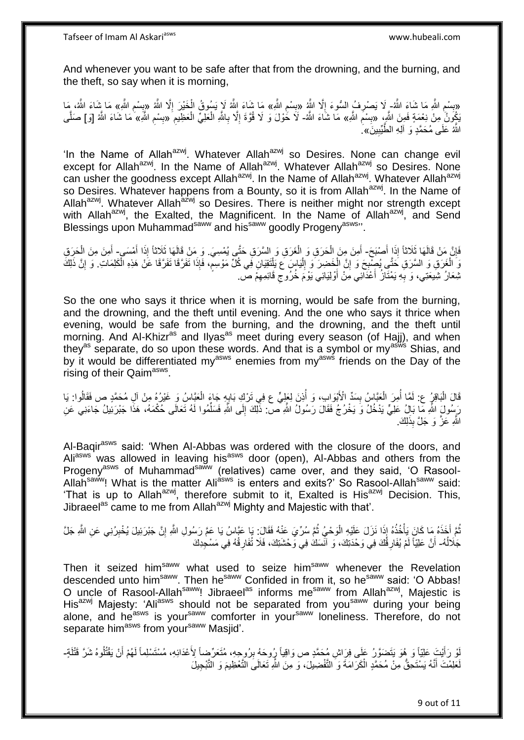And whenever you want to be safe after that from the drowning, and the burning, and the theft, so say when it is morning,

«بِسْمِ اللَّهِ مَا شَاءَ اللَّهُ- لَا يَصْرِفُ السُّوءَ إِلَّا اللَّهُ «بِسْمِ اللَّهِ» مَا شَاءَ اللَّهُ لَا يَسُوقُ الْخَيْرَ إِلَّا اللَّهُ «بِسْمِ اللَّهِ» مَا شَاءَ اللَّهُ ، مَا<br>وَصِّدْ اللَّهُ «بِسَبِّ عَلَّى اللَ **ِ**  $\overline{\phantom{a}}$ ِ ِ ِ ِ ِ ِ يَكُونُّ مِنْ نِعْمَةٍ فَمِنَ اللَّهِ، «بِسْمَ اللَّهِ» مَا شَاءَ اللَّه- لَا خُوْلَ وَ لَا قُوَّةَ إِلَّا بِاللَّهِ الْعَظِيمِ آوبِسْمِ اللَّهِ» مَا شَاءَ اللَّه [وَ] صَلَّى ِ **∣** ِ إ إ ِ ا<br>ا ِ ِ َّ اللَّهُ عَلَى مُحَمَّدٍ وَ آلِهِ الطَّيِّبِينَ» ِ ِ

'In the Name of Allah<sup>azwj</sup>. Whatever Allah<sup>azwj</sup> so Desires. None can change evil except for Allah<sup>azwj</sup>. In the Name of Allah<sup>azwj</sup>. Whatever Allah<sup>azwj</sup> so Desires. None can usher the goodness except Allah<sup>azwj</sup>. In the Name of Allah<sup>azwj</sup>. Whatever Allah<sup>azwj</sup> so Desires. Whatever happens from a Bounty, so it is from Allah<sup>azwj</sup>. In the Name of Allah<sup>azwj</sup>. Whatever Allah<sup>azwj</sup> so Desires. There is neither might nor strength except with Allah<sup>azwj</sup>, the Exalted, the Magnificent. In the Name of Allah<sup>azwj</sup>, and Send Blessings upon Muhammad<sup>saww</sup> and his<sup>saww</sup> goodly Progeny<sup>asws</sup>".

فَإِنَّ مَنْ قَالَهَا ثَلَاثًا إِذَا أَصْبَحَ- أَمِنَ مِنَ الْحَرَقِ وَ الْغَرَقِ وَ السَّرَقِ حَتَّى يُمْسِيَ وَ مَنْ قَالَهَا ثَلَاثًا إِذَا أَمْسَى- أَمِنَ مِنَ الْحَرِقِ َ ِ إ إ َ َ إ يَا الْغَرَقِ وَ السَّرَقِ حَتَّى يُصِّبِحَ وَ إِنَّ الْخَضِرَ وَ إِلْيَاسٍ عَ يَلْتَقِيَانِ فَى كُلِّ مَوْسِمٍ، فَإِذَا تَفَرَّقَا تَفَرَّقَا عَنْ هَذِهِ الْكَلِمَاتِ. وَ إِنَّ ذَلِكَ ِ إ ٍ إ إ ∣∣<br>∶ إ יֲ<br>י ِ نْبِعَانُ شِبَعَتِي، وَ بِهِ يَمْنَانُ أَعْدَانِي مِنْ أَوْلِيَائِي يَوْمَ خُرُوجٍ قَائِمِهِمْ صَ. َ َ ِ ِ

So the one who says it thrice when it is morning, would be safe from the burning, and the drowning, and the theft until evening. And the one who says it thrice when evening, would be safe from the burning, and the drowning, and the theft until morning. And Al-Khizr<sup>as</sup> and Ilyas<sup>as</sup> meet during every season (of Hajj), and when they<sup>as</sup> separate, do so upon these words. And that is a symbol or my<sup>asws</sup> Shias, and by it would be differentiated my<sup>asws</sup> enemies from my<sup>asws</sup> friends on the Day of the rising of their Qaim<sup>asws</sup>.

قَالَ الْبَاقِرُ ع: لَمَّا أُمِرَ الْعَبَّاسُ بِسَدٍّ الْأَبْوَابِ، وَ أُذِنَ لِعَلِيٍّ ع فِي تَرْكِ بَابِهِ جَاءَ الْعَبَّاسُ وَ غَيْرُهُ مِنْ آلِ مُحَمَّدٍ ص فَقَالُوا: يَا إ ِ ُ **!** إ ؚ<br>ٌ إ رَسُولَ اللَّهِ مَّا بَالُ عَلِيٍّ يَدْخُلُ وَ يَخْرُجُ فَقَالَ رَسُولُ اللَّهِ ص: ذَٰلِكَ إِلَى اللَّهِ فَسَلِّمُوا لَمُ تَعَالَى حُكْمَهُ، هَذَا جَبْرَئِيلُ جَاءَنِي عَنِ ِّ  $\frac{1}{2}$ اللَّهِ عَزَّ وَ جَلَّ بِذَلِك<u>َ</u>.

Al-Baqir<sup>asws</sup> said: 'When Al-Abbas was ordered with the closure of the doors, and Ali<sup>asws</sup> was allowed in leaving his<sup>asws</sup> door (open), Al-Abbas and others from the Progeny<sup>asws</sup> of Muhammad<sup>saww</sup> (relatives) came over, and they said, 'O Rasool-Allah<sup>saww</sup>! What is the matter Ali<sup>asws</sup> is enters and exits?' So Rasool-Allah<sup>saww</sup> said: 'That is up to Allah<sup>azwj</sup>, therefore submit to it, Exalted is His<sup>azwj</sup> Decision. This, Jibraeel<sup>as</sup> came to me from Allah<sup>azwj</sup> Mighty and Majestic with that'.

نُّمَّ أَخَذَهُ مَا كَانَ يَأْخُذُهُ إِذَا نَزَلَ عَلَيْهِ الْوَحْيُ ثُمَّ سُرِّيَ عَنْهُ فَقَالَ: يَا عَبَّاسُ يَا عَمَّ رَسُولِ اللَّهِ إِنَّ جَبْرَئِيلَ يُخْبِرُنِي عَنِ اللَّهِ جَلَّ ان<br>المقام المقام المقام المقام المقام المقام المقام المقام المقام المقام المقام المقام المقام المقام المقام المقا إ إ ِ ِ جَلَالُهُ- أَنَّ عَلِيَّاً لَمْ يُفَارِقُكَ فِي وَحْدَتِكَ، وَ آنْسَكَ فِي وَحْشَنِكَ، فَلَا تُفَارِقُهُ فِي مَسْجِدِكَ ُ **∶** ِ لَ َ

Then it seized him<sup>saww</sup> what used to seize him<sup>saww</sup> whenever the Revelation descended unto him<sup>saww</sup>. Then he<sup>saww</sup> Confided in from it, so he<sup>saww</sup> said: 'O Abbas! O uncle of Rasool-Allah<sup>saww</sup>! Jibraeel<sup>as</sup> informs me<sup>saww</sup> from Allah<sup>azwj</sup>, Majestic is His<sup>azwj</sup> Majesty: 'Ali<sup>asws</sup> should not be separated from you<sup>saww</sup> during your being alone, and he<sup>asws</sup> is your<sup>saww</sup> comforter in your<sup>saww</sup> loneliness. Therefore, do not separate him<sup>asws</sup> from your<sup>saww</sup> Masjid'.

إِنْ رَأَيْتَ عَلِيّاً وَ هُوَ يَتَضَوَّرُ عَلَى فِرَاشِ مُحَمَّدٍ ص وَاقِياً رُوحِهُ بِرُوجِهِ، مُتَعَرِّضاً لِأَعْدَائِهِ، مُسْتَسْلِماً لَهُمْ أَنْ يَقْتُلُوهُ شَرَّ قَتْلَةٍ۔ ِ َ لَ َ لَ ا<br>ا لَعَلِمْتَ أَنَّهُ يَسْتَحِقُّ مِنْ مُحَمَّدٍ الْكَرَامَةَ وَ التَّفْضِيلَ، وَ مِنَ اللَّهِ تَعَالَىَ التَّعْظِيمَ وَ التَّبْجِيلَ إ َ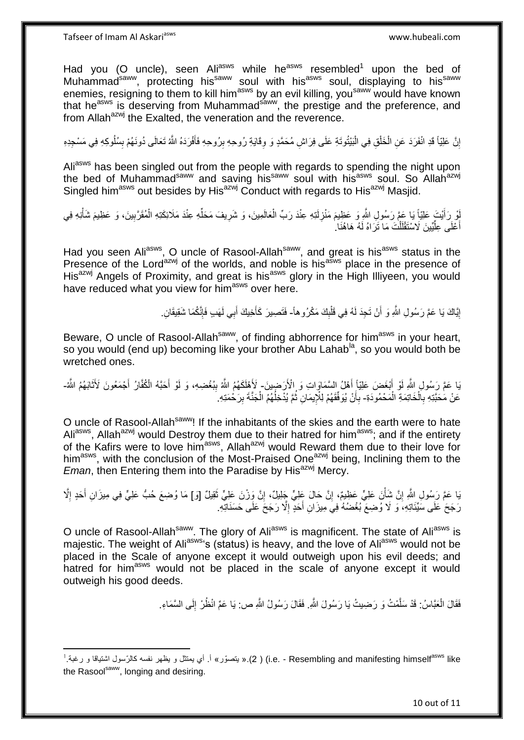Had you (O uncle), seen Ali<sup>asws</sup> while he<sup>asws</sup> resembled<sup>1</sup> upon the bed of Muhammad<sup>saww</sup>, protecting his<sup>saww</sup> soul with his<sup>asws</sup> soul, displaying to his<sup>saww</sup> enemies, resigning to them to kill him<sup>asws</sup> by an evil killing, you<sup>saww</sup> would have known that he<sup>asws</sup> is deserving from Muhammad<sup>saww</sup>, the prestige and the preference, and from Allah<sup>azwj</sup> the Exalted, the veneration and the reverence.

إِنَّ عَلِيّاً قَدِ انْفَرَدَ عَنِ الْخَلْقِ فِي الْبَيْتُوتَةِ عَلَى فِرَاشِ مُحَمَّدٍ وَ وِقَايَةِ رُوحِهِ بِرُوحِهِ فَأَفْرَدَهُ اللَّهُ تَعَالَى دُونَهُمْ بِسُلُوكِهِ فِي مَسْجِدِهِ َ ِ ِ إ إ إ اٍ ِ

Ali<sup>asws</sup> has been singled out from the people with regards to spending the night upon The bed of Muhammad<sup>saww</sup> and saving his<sup>saww</sup> soul with his<sup>asws</sup> soul. So Allah<sup>azwj</sup> Singled him<sup>asws</sup> out besides by His<sup>azwj</sup> Conduct with regards to His<sup>azwj</sup> Masjid.

لُو رَأَيْتَ عَلِيّاً يَا عَمَّ رَسُولِ اللَّهِ وَ عَظِيمَ مَنْزِلَتِهِ عِنْدَ رَبِّ الْعَالَمِينَ، وَ شَرِيفَ مَحَلِّهِ عِنْدَ مَلَائِكَتِهِ الْمُقَرَّبِينَ، وَ عَظِيمَ شَأْنِهِ فِي ِّ ِ إ لَ **∶** إ ِ إ أَعْلَى عِلَّيِّينَ لَاسْتَقْلَلْتَ مَا تَرَاهُ لَهُ هَاهُذَا ِ إ لَ ِّ َ

Had you seen Aliasws, O uncle of Rasool-Allah<sup>saww</sup>, and great is his<sup>asws</sup> status in the Presence of the Lord<sup>azwj</sup> of the worlds, and noble is his<sup>asws</sup> place in the presence of His<sup>azwj</sup> Angels of Proximity, and great is his<sup>asws</sup> glory in the High Illiyeen, you would have reduced what you view for him<sup>asws</sup> over here.

> إِيَّاكَ يَا عَمَّ رَسُولِ اللَّهِ وَ أَنْ تَجِدَ لَهُ فِي قَلْبِكَ مَكْرُوهاً- فَتَصِيرَ كَأَخِيكَ أَبِي لَهَبِ فَإِنَّكُمَا شَقِيقَانِ  $\frac{1}{2}$ إ اُ <u>֛</u> ׀ו<br>ְי َ َ

Beware, O uncle of Rasool-Allah<sup>saww</sup>, of finding abhorrence for him<sup>asws</sup> in your heart, so you would (end up) becoming like your brother Abu Lahab<sup>la</sup>, so you would both be wretched ones.

بَا عَمَّ رَسُولِ اللَّهِ لَوْ أَبْغَضَ عَلِيّاً أَهْلُ السَّمَاوَاتِ وَ الْأَرَضِينَ- لَأَهْلَكَهُمُ اللَّهُ بِبُغْضِهِ، وَ لَوْ أَحَبَّهُ الْمُقَارُ أَجْمَعُونَ لَأَنْابَهُمُ اللَّه َ َ َ ِ َ َ عَنْ مَحَبَّتِهِ بِالْخَاتِمَةِ الْمَحْمُودَةِ- بِأَنْ يُوَفِّقَهُمْ لِلْإِيمَانِ ثُمَّ يُدْخِلُهُمُ الْجَنَّةَ بِرَحْمَتِهِ ِ إ إ ِ َ **∶** ِ إ ا<br>ا ُ

O uncle of Rasool-Allah<sup>saww</sup>! If the inhabitants of the skies and the earth were to hate Ali<sup>asws</sup>, Allah<sup>azwj</sup> would Destroy them due to their hatred for him<sup>asws</sup>; and if the entirety of the Kafirs were to love him<sup>asws</sup>, Allah<sup>azwj</sup> would Reward them due to their love for him<sup>asws</sup>, with the conclusion of the Most-Praised One<sup>azwj</sup> being, Inclining them to the *Eman*, then Entering them into the Paradise by His<sup>azwj</sup> Mercy.

بَا عَمَّ رَسُولِ اللَّهِ إِنَّ شَأْنَ عَلِيٍّ عَظِيمٌ، إِنَّ حَالَ عَلِيٍّ جَلِيلٌ، إِنَّ وَزِنْ عَلِيٍّ ثَقِيلٌ [وَ] مَا وُضِعَ حُبُّ عَلِيٍّ فِي مِيزَانِ أَحَدٍ إِلَّا َ ِ ِ إ ِ ِ َ رَجَحَ عَلَى سَيِّئَاتِهِ، وَ لَا وُضِعَ بُغْضُهُ فِيَ مِيزَانِ أَحَدٍ إِلَّا رَجَحَ عَلَى حَسَنَاتِهِ. ِ َ

O uncle of Rasool-Allah<sup>saww</sup>. The glory of Ali<sup>asws</sup> is magnificent. The state of Ali<sup>asws</sup> is majestic. The weight of Ali<sup>asws</sup>'s (status) is heavy, and the love of Ali<sup>asws</sup> would not be placed in the Scale of anyone except it would outweigh upon his evil deeds; and hatred for him<sup>asws</sup> would not be placed in the scale of anyone except it would outweigh his good deeds.

> فَقَالَ الْعَبَّاسُ: قَدْ سَلَّمْتُ وَ رَضِيتُ يَا رَسُولَ اللَّهِ. فَقَالَ رَسُولُ اللَّهِ ص: يَا عَمِّ انْظُرْ إِلَى السَّمَاءِ. َّ إ لَ ِ

**<sup>.</sup>** i.e. - Resembling and manifesting himself<sup>asws</sup> like ( 2).« يتصوّر » أ. أي يمتثّل و يظهر نفسه كالرّسول اشتياقا و رغبة.<sup>1</sup> the Rasoolsaww, longing and desiring.